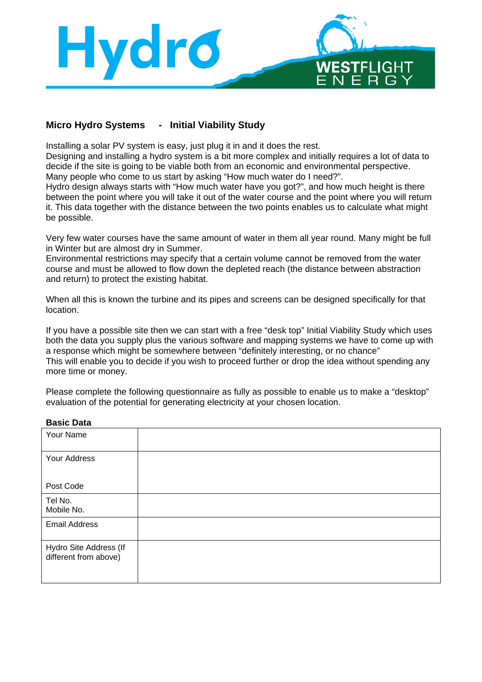

## **Micro Hydro Systems - Initial Viability Study**

Installing a solar PV system is easy, just plug it in and it does the rest.

Designing and installing a hydro system is a bit more complex and initially requires a lot of data to decide if the site is going to be viable both from an economic and environmental perspective. Many people who come to us start by asking "How much water do I need?".

Hydro design always starts with "How much water have you got?", and how much height is there between the point where you will take it out of the water course and the point where you will return it. This data together with the distance between the two points enables us to calculate what might be possible.

Very few water courses have the same amount of water in them all year round. Many might be full in Winter but are almost dry in Summer.

Environmental restrictions may specify that a certain volume cannot be removed from the water course and must be allowed to flow down the depleted reach (the distance between abstraction and return) to protect the existing habitat.

When all this is known the turbine and its pipes and screens can be designed specifically for that location.

If you have a possible site then we can start with a free "desk top" Initial Viability Study which uses both the data you supply plus the various software and mapping systems we have to come up with a response which might be somewhere between "definitely interesting, or no chance" This will enable you to decide if you wish to proceed further or drop the idea without spending any more time or money.

Please complete the following questionnaire as fully as possible to enable us to make a "desktop" evaluation of the potential for generating electricity at your chosen location.

#### **Basic Data**

| Your Name                                       |  |
|-------------------------------------------------|--|
| Your Address                                    |  |
| Post Code                                       |  |
| Tel No.<br>Mobile No.                           |  |
| <b>Email Address</b>                            |  |
| Hydro Site Address (If<br>different from above) |  |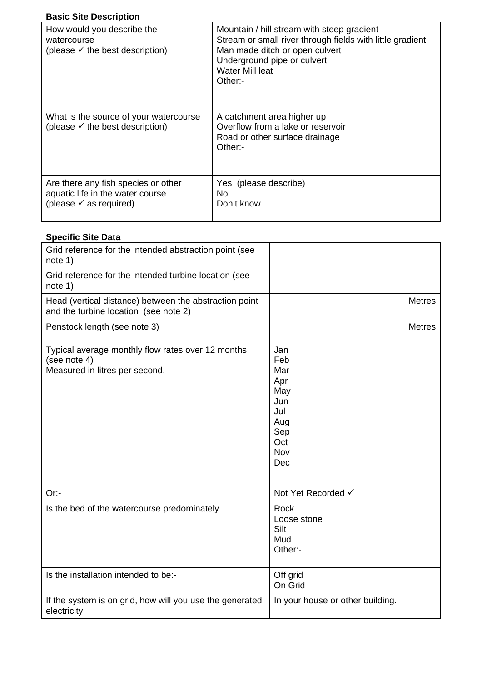## **Basic Site Description**

| How would you describe the<br>watercourse<br>(please $\checkmark$ the best description)                      | Mountain / hill stream with steep gradient<br>Stream or small river through fields with little gradient<br>Man made ditch or open culvert<br>Underground pipe or culvert<br>Water Mill leat<br>Other: |
|--------------------------------------------------------------------------------------------------------------|-------------------------------------------------------------------------------------------------------------------------------------------------------------------------------------------------------|
| What is the source of your watercourse<br>(please $\checkmark$ the best description)                         | A catchment area higher up<br>Overflow from a lake or reservoir<br>Road or other surface drainage<br>Other:                                                                                           |
| Are there any fish species or other<br>aquatic life in the water course<br>(please $\checkmark$ as required) | Yes (please describe)<br>No.<br>Don't know                                                                                                                                                            |

# **Specific Site Data**

| Grid reference for the intended abstraction point (see<br>note 1)                                   |                                                                                  |
|-----------------------------------------------------------------------------------------------------|----------------------------------------------------------------------------------|
| Grid reference for the intended turbine location (see<br>note 1)                                    |                                                                                  |
| Head (vertical distance) between the abstraction point<br>and the turbine location (see note 2)     | <b>Metres</b>                                                                    |
| Penstock length (see note 3)                                                                        | <b>Metres</b>                                                                    |
| Typical average monthly flow rates over 12 months<br>(see note 4)<br>Measured in litres per second. | Jan<br>Feb<br>Mar<br>Apr<br>May<br>Jun<br>Jul<br>Aug<br>Sep<br>Oct<br>Nov<br>Dec |
| Or:                                                                                                 | Not Yet Recorded √                                                               |
| Is the bed of the watercourse predominately                                                         | Rock<br>Loose stone<br>Silt<br>Mud<br>Other:-                                    |
| Is the installation intended to be:-                                                                | Off grid<br>On Grid                                                              |
| If the system is on grid, how will you use the generated<br>electricity                             | In your house or other building.                                                 |